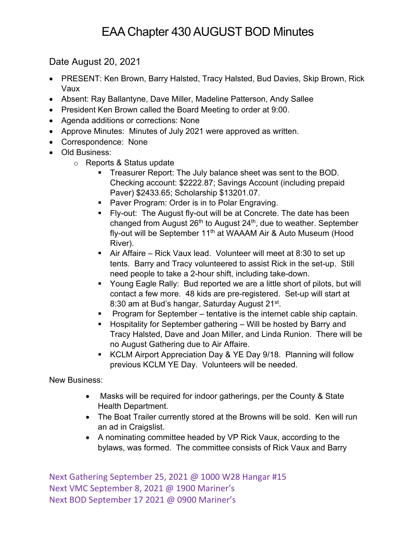## EAA Chapter 430 AUGUST BOD Minutes

Date August 20, 2021

- PRESENT: Ken Brown, Barry Halsted, Tracy Halsted, Bud Davies, Skip Brown, Rick Vaux
- Absent: Ray Ballantyne, Dave Miller, Madeline Patterson, Andy Sallee
- President Ken Brown called the Board Meeting to order at 9:00.
- Agenda additions or corrections: None
- Approve Minutes: Minutes of July 2021 were approved as written.
- Correspondence: None
- Old Business:
	- o Reports & Status update
		- **Treasurer Report: The July balance sheet was sent to the BOD.** Checking account: \$2222.87; Savings Account (including prepaid Paver) \$2433.65; Scholarship \$13201.07.
		- Paver Program: Order is in to Polar Engraving.
		- § Fly-out: The August fly-out will be at Concrete. The date has been changed from August 26<sup>th</sup> to August 24<sup>th</sup>, due to weather. September fly-out will be September 11<sup>th</sup> at WAAAM Air & Auto Museum (Hood River).
		- Air Affaire Rick Vaux lead. Volunteer will meet at 8:30 to set up tents. Barry and Tracy volunteered to assist Rick in the set-up. Still need people to take a 2-hour shift, including take-down.
		- Young Eagle Rally: Bud reported we are a little short of pilots, but will contact a few more. 48 kids are pre-registered. Set-up will start at 8:30 am at Bud's hangar, Saturday August 21<sup>st</sup>.
		- Program for September tentative is the internet cable ship captain.
		- Hospitality for September gathering Will be hosted by Barry and Tracy Halsted, Dave and Joan Miller, and Linda Runion. There will be no August Gathering due to Air Affaire.
		- KCLM Airport Appreciation Day & YE Day 9/18. Planning will follow previous KCLM YE Day. Volunteers will be needed.

New Business:

- Masks will be required for indoor gatherings, per the County & State Health Department.
- The Boat Trailer currently stored at the Browns will be sold. Ken will run an ad in Craigslist.
- A nominating committee headed by VP Rick Vaux, according to the bylaws, was formed. The committee consists of Rick Vaux and Barry

Next Gathering September 25, 2021 @ 1000 W28 Hangar #15 Next VMC September 8, 2021 @ 1900 Mariner's Next BOD September 17 2021 @ 0900 Mariner's